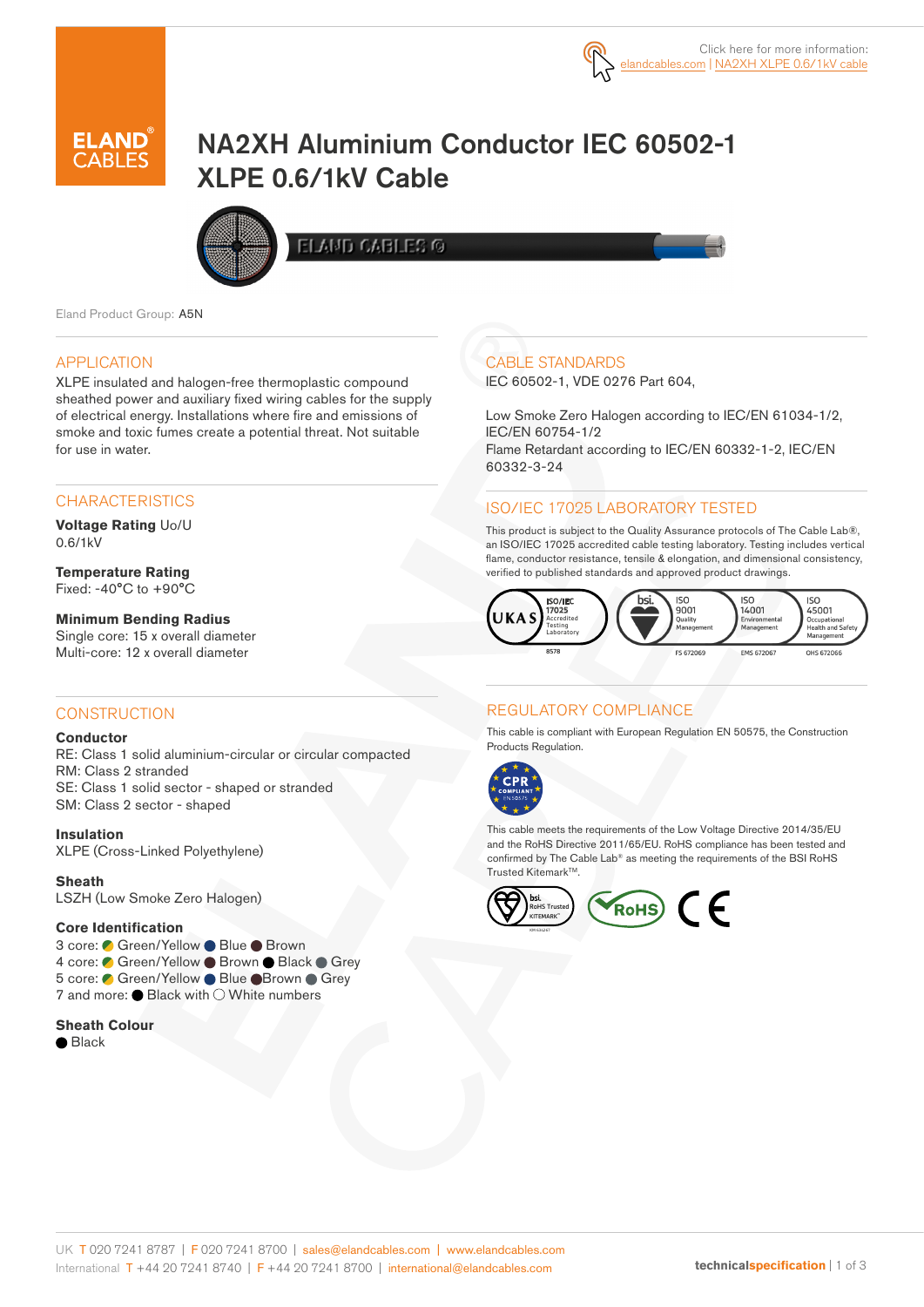

# NA2XH Aluminium Conductor IEC 60502-1 XLPE 0.6/1kV Cable



**ELAMD CABLES G** 

Eland Product Group: A5N

#### APPLICATION

XLPE insulated and halogen-free thermoplastic compound sheathed power and auxiliary fixed wiring cables for the supply of electrical energy. Installations where fire and emissions of smoke and toxic fumes create a potential threat. Not suitable for use in water.

## **CHARACTERISTICS**

**Voltage Rating** Uo/U 0.6/1kV

**Temperature Rating** Fixed:  $-40^{\circ}$ C to  $+90^{\circ}$ C

#### **Minimum Bending Radius**

Single core: 15 x overall diameter Multi-core: 12 x overall diameter

## **CONSTRUCTION**

#### **Conductor**

RE: Class 1 solid aluminium-circular or circular compacted RM: Class 2 stranded SE: Class 1 solid sector - shaped or stranded SM: Class 2 sector - shaped

**Insulation**

XLPE (Cross-Linked Polyethylene)

**Sheath** LSZH (Low Smoke Zero Halogen)

#### **Core Identification**

3 core: ● Green/Yellow ● Blue ● Brown 4 core: Green/Yellow Brown Black Grey 5 core: ● Green/Yellow ● Blue ● Brown ● Grey 7 and more:  $\bullet$  Black with  $\circlearrowright$  White numbers

#### **Sheath Colour**

**●** Black

## CABLE STANDARDS

IEC 60502-1, VDE 0276 Part 604,

Low Smoke Zero Halogen according to IEC/EN 61034-1/2, IEC/EN 60754-1/2 Flame Retardant according to IEC/EN 60332-1-2, IEC/EN 60332-3-24

## ISO/IEC 17025 LABORATORY TESTED

This product is subject to the Quality Assurance protocols of The Cable Lab®, an ISO/IEC 17025 accredited cable testing laboratory. Testing includes vertical flame, conductor resistance, tensile & elongation, and dimensional consistency, verified to published standards and approved product drawings.



## REGULATORY COMPLIANCE

This cable is compliant with European Regulation EN 50575, the Construction Products Regulation.



This cable meets the requirements of the Low Voltage Directive 2014/35/EU and the RoHS Directive 2011/65/EU. RoHS compliance has been tested and confirmed by The Cable Lab® as meeting the requirements of the BSI RoHS Trusted Kitemark™

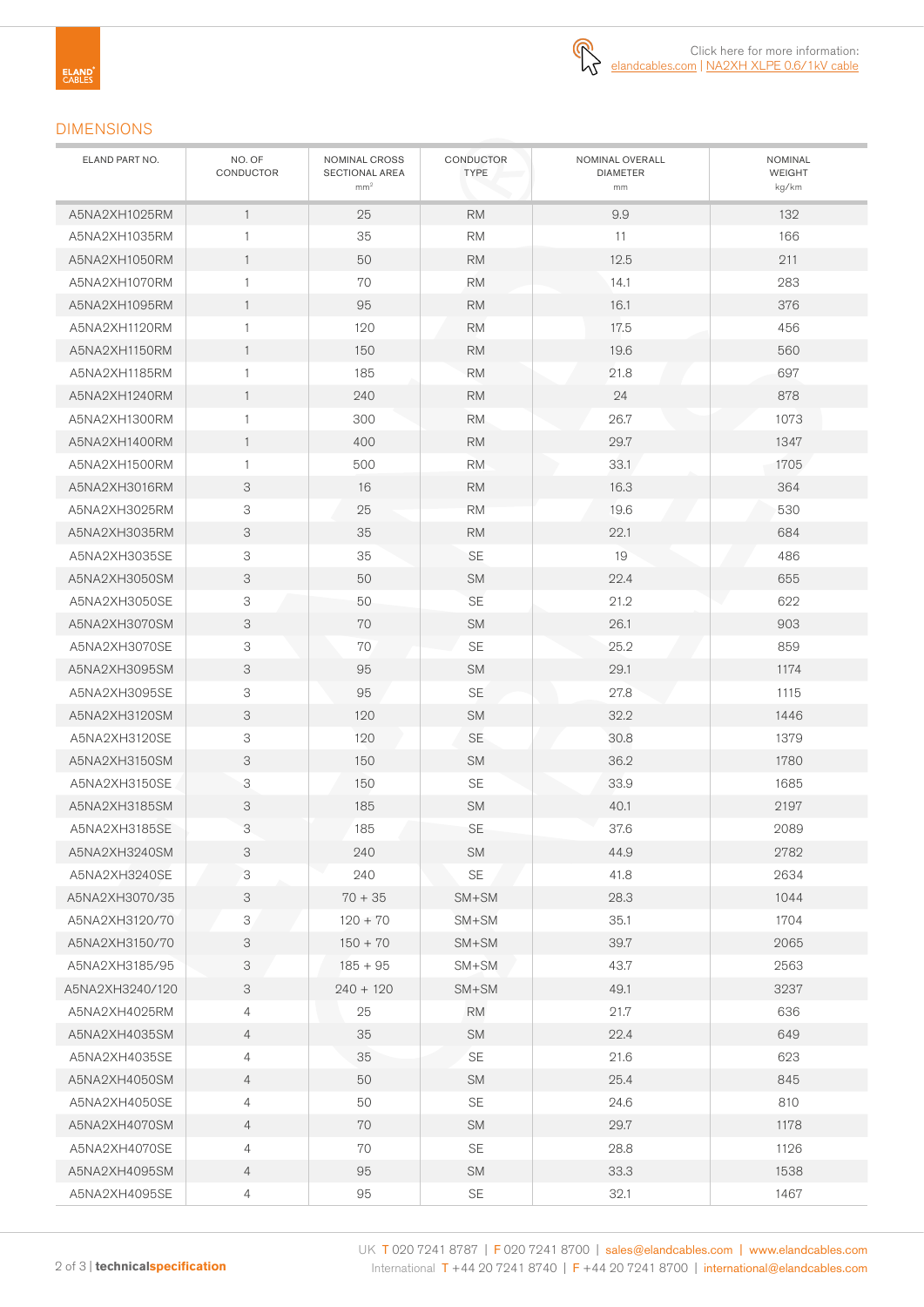

## DIMENSIONS

| ELAND PART NO.  | NO. OF<br>CONDUCTOR | NOMINAL CROSS<br>SECTIONAL AREA<br>mm <sup>2</sup> | CONDUCTOR<br><b>TYPE</b> | NOMINAL OVERALL<br><b>DIAMETER</b><br>mm | <b>NOMINAL</b><br>WEIGHT<br>kg/km |
|-----------------|---------------------|----------------------------------------------------|--------------------------|------------------------------------------|-----------------------------------|
| A5NA2XH1025RM   | $\overline{1}$      | 25                                                 | <b>RM</b>                | 9.9                                      | 132                               |
| A5NA2XH1035RM   | $\mathbf{1}$        | 35<br><b>RM</b>                                    |                          | 11                                       | 166                               |
| A5NA2XH1050RM   | $\mathbf{1}$        | 50                                                 | <b>RM</b>                | 12.5                                     | 211                               |
| A5NA2XH1070RM   | $\mathbf{1}$        | 70                                                 | <b>RM</b>                | 14.1                                     | 283                               |
| A5NA2XH1095RM   | $\mathbf{1}$        | 95                                                 | <b>RM</b>                | 16.1                                     | 376                               |
| A5NA2XH1120RM   | $\mathbf{1}$        | 120                                                | <b>RM</b>                | 17.5                                     | 456                               |
| A5NA2XH1150RM   | $\mathbf{1}$        | 150                                                | <b>RM</b>                | 19.6                                     | 560                               |
| A5NA2XH1185RM   | $\mathbf{1}$        | 185                                                | <b>RM</b>                | 21.8                                     | 697                               |
| A5NA2XH1240RM   | $\mathbf{1}$        | 240                                                | <b>RM</b>                | 24                                       | 878                               |
| A5NA2XH1300RM   | $\mathbf{1}$        | 300                                                | <b>RM</b>                | 26.7                                     | 1073                              |
| A5NA2XH1400RM   | $\mathbf{1}$        | 400                                                | <b>RM</b>                | 29.7                                     | 1347                              |
| A5NA2XH1500RM   | $\mathbf{1}$        | 500                                                | <b>RM</b>                | 33.1                                     | 1705                              |
| A5NA2XH3016RM   | 3                   | 16                                                 | <b>RM</b>                | 16.3                                     | 364                               |
| A5NA2XH3025RM   | 3                   | 25                                                 | <b>RM</b>                | 19.6                                     | 530                               |
| A5NA2XH3035RM   | 3                   | 35                                                 | <b>RM</b>                | 22.1                                     | 684                               |
| A5NA2XH3035SE   | 3                   | 35                                                 | <b>SE</b>                | 19                                       | 486                               |
| A5NA2XH3050SM   | 3                   | 50                                                 | <b>SM</b>                | 22.4                                     | 655                               |
| A5NA2XH3050SE   | 3                   | 50                                                 | <b>SE</b>                | 21.2                                     | 622                               |
| A5NA2XH3070SM   | 3                   | 70                                                 | <b>SM</b>                | 26.1                                     | 903                               |
| A5NA2XH3070SE   | 3                   | 70                                                 | SE                       | 25.2                                     | 859                               |
| A5NA2XH3095SM   | 3                   | 95                                                 | <b>SM</b>                | 29.1                                     | 1174                              |
| A5NA2XH3095SE   | 3                   | 95                                                 | <b>SE</b>                | 27.8                                     | 1115                              |
| A5NA2XH3120SM   | 3                   | 120                                                | <b>SM</b>                | 32.2                                     | 1446                              |
| A5NA2XH3120SE   | 3                   | 120                                                | SE                       | 30.8                                     | 1379                              |
| A5NA2XH3150SM   | 3                   | 150                                                | <b>SM</b>                | 36.2                                     | 1780                              |
| A5NA2XH3150SE   | 3                   | 150                                                | <b>SE</b>                | 33.9                                     | 1685                              |
| A5NA2XH3185SM   | 3                   | 185                                                | <b>SM</b>                | 40.1                                     | 2197                              |
| A5NA2XH3185SE   | 3                   | 185                                                | SE                       | 37.6                                     | 2089                              |
| A5NA2XH3240SM   | 3                   | 240                                                | <b>SM</b>                | 44.9                                     | 2782                              |
| A5NA2XH3240SE   | 3                   | 240                                                | SE                       | 41.8                                     | 2634                              |
| A5NA2XH3070/35  | 3                   | $70 + 35$                                          | $SM+SM$                  | 28.3                                     | 1044                              |
| A5NA2XH3120/70  | 3                   | $120 + 70$                                         | SM+SM                    | 35.1                                     | 1704                              |
| A5NA2XH3150/70  | 3                   | $150 + 70$                                         | $SM+SM$                  | 39.7                                     | 2065                              |
| A5NA2XH3185/95  | 3                   | $185 + 95$                                         | SM+SM                    | 43.7                                     | 2563                              |
| A5NA2XH3240/120 | 3                   | $240 + 120$                                        | SM+SM                    | 49.1                                     | 3237                              |
| A5NA2XH4025RM   | $\overline{4}$      | 25                                                 | <b>RM</b>                | 21.7                                     | 636                               |
| A5NA2XH4035SM   | $\overline{4}$      | 35                                                 | SM                       | 22.4                                     | 649                               |
| A5NA2XH4035SE   | $\overline{4}$      | 35                                                 | <b>SE</b>                | 21.6                                     | 623                               |
| A5NA2XH4050SM   | $\overline{4}$      | 50                                                 | <b>SM</b>                | 25.4                                     | 845                               |
| A5NA2XH4050SE   | 4                   | 50                                                 | SE                       | 24.6                                     | 810                               |
| A5NA2XH4070SM   | $\overline{4}$      | 70                                                 | <b>SM</b>                | 29.7                                     | 1178                              |
| A5NA2XH4070SE   | 4                   | 70                                                 | $\mathsf{SE}$            | 28.8                                     | 1126                              |
| A5NA2XH4095SM   | $\overline{4}$      | 95                                                 | SM                       | 33.3                                     | 1538                              |
| A5NA2XH4095SE   | $\overline{4}$      | 95                                                 | SE                       | 32.1                                     | 1467                              |